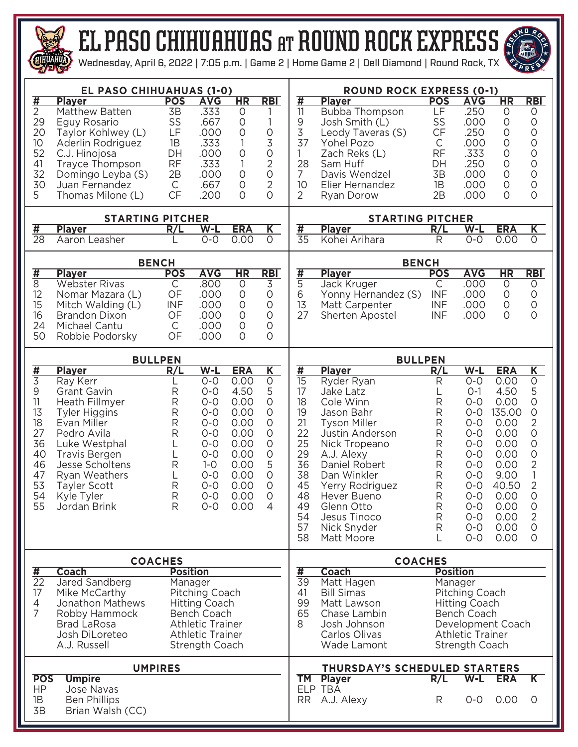

## el paso CHIHUAHUAS at round rock EXPRESS



Wednesday, April 6, 2022 | 7:05 p.m. | Game 2 | Home Game 2 | Dell Diamond | Round Rock, TX

|                                           | EL PASO CHIHUAHUAS (1-0)                                                                                    |                       |                  |                        | <b>ROUND ROCK EXPRESS (0-1)</b> |                                        |                                         |                          |                           |                        |                           |  |  |  |  |  |
|-------------------------------------------|-------------------------------------------------------------------------------------------------------------|-----------------------|------------------|------------------------|---------------------------------|----------------------------------------|-----------------------------------------|--------------------------|---------------------------|------------------------|---------------------------|--|--|--|--|--|
| $\overline{\sharp}$                       | <b>Player</b>                                                                                               | <b>POS</b>            | <b>AVG</b>       | <b>HR</b>              | <b>RBI</b>                      | $\overline{\sharp}$                    | <b>Player</b>                           | <b>POS</b>               | <b>AVG</b>                | $\overline{\text{HR}}$ | <b>RBI</b>                |  |  |  |  |  |
| $\overline{2}$<br>29                      | Matthew Batten<br>Eguy Rosario                                                                              | $\overline{3B}$<br>SS | .333<br>.667     | 0<br>0                 | 1                               | $\overline{\mathbb{1}}$<br>9           | <b>Bubba Thompson</b><br>Josh Smith (L) | LF<br>SS                 | .250<br>.000              | $\circ$<br>$\circ$     | 0<br>$\mathsf O$          |  |  |  |  |  |
| 20                                        | Taylor Kohlwey (L)                                                                                          | LF                    | .000             | $\circ$                | $\circ$                         | 3                                      | Leody Taveras (S)                       | CF                       | .250                      | $\circ$                | $\circ$                   |  |  |  |  |  |
| 10                                        | Aderlin Rodriguez                                                                                           | 1B                    | .333             | 1                      | 3                               | 37                                     | Yohel Pozo                              | C                        | .000                      | $\circ$                | $\circ$                   |  |  |  |  |  |
| 52                                        | C.J. Hinojosa                                                                                               | DH                    | .000             | 0                      | $\circ$                         | $\mathbf{1}$                           | Zach Reks (L)                           | <b>RF</b>                | .333                      | $\circ$                | $\circ$                   |  |  |  |  |  |
| 41                                        | Trayce Thompson                                                                                             | <b>RF</b>             | .333             | 1                      | $\overline{2}$                  | 28                                     | Sam Huff                                | DH                       | .250                      | $\circ$                | $\circ$                   |  |  |  |  |  |
| 32                                        | Domingo Leyba (S)                                                                                           | 2B                    | .000             | 0                      | $\circ$                         | $\overline{7}$                         | Davis Wendzel                           | 3B                       | .000                      | 0                      | $\circ$                   |  |  |  |  |  |
| 30                                        | Juan Fernandez                                                                                              | C                     | .667             | 0                      | $\overline{2}$                  | 10                                     | Elier Hernandez                         | 1B                       | .000                      | $\circ$                | $\circ$                   |  |  |  |  |  |
| 5                                         | Thomas Milone (L)                                                                                           | CF                    | .200             | $\circ$                | $\circ$                         | $\overline{2}$                         | Ryan Dorow                              | 2B                       | .000                      | $\circ$                | $\circ$                   |  |  |  |  |  |
|                                           | <b>STARTING PITCHER</b>                                                                                     |                       |                  |                        | <b>STARTING PITCHER</b>         |                                        |                                         |                          |                           |                        |                           |  |  |  |  |  |
| #                                         | <b>Player</b>                                                                                               | R/L                   | $W-L$            | <b>ERA</b>             | $\overline{\mathsf{K}}$         | #                                      | <b>Player</b>                           | R/L                      | W-L                       | <b>ERA</b>             | $\overline{\mathsf{K}}$   |  |  |  |  |  |
| $\overline{28}$                           | Aaron Leasher                                                                                               |                       | $O - O$          | 0.00                   | $\circ$                         | $\overline{35}$                        | Kohei Arihara                           | R                        | $0 - 0$                   | 0.00                   | $\overline{0}$            |  |  |  |  |  |
|                                           |                                                                                                             | <b>BENCH</b>          |                  |                        |                                 |                                        | <b>BENCH</b>                            |                          |                           |                        |                           |  |  |  |  |  |
| $\overline{\sharp}$                       | <b>Player</b>                                                                                               | <b>POS</b>            | <b>AVG</b>       | $\overline{\text{HR}}$ | <b>RBI</b>                      | <u>#</u>                               | <b>Player</b>                           | <b>POS</b>               | <b>AVG</b>                | $\overline{\text{HR}}$ | R <sub>B</sub>            |  |  |  |  |  |
| $\overline{8}$                            | <b>Webster Rivas</b>                                                                                        | С                     | .800             | 0                      | 3                               | $\overline{5}$                         | Jack Kruger                             | C                        | .000                      | $\circ$                | 0                         |  |  |  |  |  |
| 12<br>15                                  | Nomar Mazara (L)<br>Mitch Walding (L)                                                                       | OF<br><b>INF</b>      | .000<br>.000     | $\circ$<br>0           | $\circ$<br>$\circ$              | 6<br>13                                | Yonny Hernandez (S)<br>Matt Carpenter   | <b>INF</b><br><b>INF</b> | .000<br>.000              | $\circ$<br>$\circ$     | 0<br>$\circ$              |  |  |  |  |  |
| 16                                        | <b>Brandon Dixon</b>                                                                                        | OF                    | .000             | 0                      | $\circ$                         | 27                                     | Sherten Apostel                         | <b>INF</b>               | .000                      | $\circ$                | $\circ$                   |  |  |  |  |  |
| 24                                        | Michael Cantu                                                                                               | C                     | .000             | 0                      | $\circ$                         |                                        |                                         |                          |                           |                        |                           |  |  |  |  |  |
| 50                                        | Robbie Podorsky                                                                                             | OF                    | .000             | $\circ$                | $\circ$                         |                                        |                                         |                          |                           |                        |                           |  |  |  |  |  |
|                                           |                                                                                                             | <b>BULLPEN</b>        |                  |                        | <b>BULLPEN</b>                  |                                        |                                         |                          |                           |                        |                           |  |  |  |  |  |
| #                                         | <b>Player</b>                                                                                               | R/L                   | $W-L$            | <b>ERA</b>             | $\overline{\mathsf{K}}$         | #                                      | <b>Player</b>                           | R/L                      | $W-L$                     | <b>ERA</b>             | $\overline{\mathsf{K}}$   |  |  |  |  |  |
| $\overline{3}$                            | Ray Kerr                                                                                                    |                       | $0 - 0$          | 0.00                   | $\circ$                         | $\overline{15}$                        | Ryder Ryan                              | R                        | $0-0$                     | 0.00                   | $\overline{0}$            |  |  |  |  |  |
| $\mathsf 9$                               | Grant Gavin                                                                                                 | R                     | $0 - 0$          | 4.50                   | 5                               | 17                                     | Jake Latz                               |                          | $O-1$                     | 4.50                   | 5                         |  |  |  |  |  |
| 11<br>13                                  | Heath Fillmyer                                                                                              | R                     | $0 - 0$<br>$O-O$ | 0.00<br>0.00           | 0<br>$\circ$                    | 18<br>19                               | Cole Winn                               | R                        | $O - O$<br>$O - O$        | 0.00<br>135.00         | 0<br>$\circ$              |  |  |  |  |  |
| 18                                        | <b>Tyler Higgins</b><br>Evan Miller                                                                         | R<br>R                | $0 - 0$          | 0.00                   | 0                               | 21                                     | Jason Bahr<br><b>Tyson Miller</b>       | R<br>R                   | $O-O$                     | 0.00                   | 2                         |  |  |  |  |  |
| 27                                        | Pedro Avila                                                                                                 | R                     | $0 - 0$          | 0.00                   | $\circ$                         | 22                                     | Justin Anderson                         | R                        | $O-O$                     | 0.00                   | $\circ$                   |  |  |  |  |  |
| 36                                        | Luke Westphal                                                                                               |                       | $0 - 0$          | 0.00                   | $\circ$                         | 25                                     | Nick Tropeano                           | R                        | $O - O$                   | 0.00                   | $\mathsf O$               |  |  |  |  |  |
| 40                                        | <b>Travis Bergen</b>                                                                                        | L                     | $0 - 0$          | 0.00                   | $\circ$                         | 29                                     | A.J. Alexy                              | R                        | $O - O$                   | 0.00                   | $\circ$                   |  |  |  |  |  |
| 46                                        | Jesse Scholtens                                                                                             | R                     | $1 - 0$          | 0.00                   | 5<br>$\circ$                    | 36<br>38                               | Daniel Robert                           | R                        | $O-O$                     | 0.00                   | $\overline{2}$<br>1       |  |  |  |  |  |
| 47<br>53                                  | Ryan Weathers<br><b>Tayler Scott</b>                                                                        | L<br>R                | $O-O$<br>$O-O$   | 0.00<br>0.00           | $\circ$                         | 45                                     | Dan Winkler<br>Yerry Rodriguez          | R<br>R                   | $O-O$<br>$O - O$          | 9.00<br>40.50          | 2                         |  |  |  |  |  |
| 54                                        | Kyle Tyler                                                                                                  | R                     | $0 - 0$          | 0.00                   | $\circ$                         | 48                                     | Hever Bueno                             | R                        | $O - O$                   | 0.00                   | $\circ$                   |  |  |  |  |  |
| 55                                        | Jordan Brink                                                                                                | ${\sf R}$             | $O-O$            | 0.00                   | $\overline{4}$                  | 49                                     | Glenn Otto                              | ${\sf R}$                | $O-O$                     | 0.00                   | $\circ$                   |  |  |  |  |  |
|                                           |                                                                                                             |                       |                  |                        |                                 | 54                                     | Jesus Tinoco                            | R                        | $O-O$                     | 0.00                   | $\overline{2}$            |  |  |  |  |  |
|                                           |                                                                                                             |                       |                  |                        |                                 | 57                                     | Nick Snyder                             | R                        | $O-O$                     | 0.00                   | $\circ$                   |  |  |  |  |  |
|                                           |                                                                                                             |                       |                  |                        |                                 | 58                                     | Matt Moore                              |                          | $O-O$                     | 0.00                   | O                         |  |  |  |  |  |
|                                           |                                                                                                             | <b>COACHES</b>        |                  |                        |                                 | <b>COACHES</b>                         |                                         |                          |                           |                        |                           |  |  |  |  |  |
| #<br>$\overline{22}$                      | <b>Coach</b>                                                                                                | <b>Position</b>       |                  |                        |                                 | $\overline{\sharp}$<br>$\overline{39}$ | <b>Coach</b><br>Matt Hagen              | <b>Position</b>          |                           |                        |                           |  |  |  |  |  |
| 17                                        | Jared Sandberg                                                                                              |                       | Manager          |                        |                                 | 41                                     | <b>Bill Simas</b>                       |                          | Manager<br>Pitching Coach |                        |                           |  |  |  |  |  |
| $\overline{4}$                            | Pitching Coach<br>Mike McCarthy<br>Jonathon Mathews<br><b>Hitting Coach</b><br>Robby Hammock<br>Bench Coach |                       |                  |                        |                                 |                                        | Matt Lawson                             |                          | <b>Hitting Coach</b>      |                        |                           |  |  |  |  |  |
| $\overline{7}$                            |                                                                                                             |                       |                  |                        |                                 |                                        | Chase Lambin                            |                          | Bench Coach               |                        |                           |  |  |  |  |  |
|                                           | <b>Brad LaRosa</b><br><b>Athletic Trainer</b>                                                               |                       |                  |                        |                                 |                                        | 8<br>Josh Johnson<br>Development Coach  |                          |                           |                        |                           |  |  |  |  |  |
| Josh DiLoreteo<br><b>Athletic Trainer</b> |                                                                                                             |                       |                  |                        |                                 |                                        | Carlos Olivas                           |                          | <b>Athletic Trainer</b>   |                        |                           |  |  |  |  |  |
|                                           | A.J. Russell                                                                                                |                       | Strength Coach   |                        |                                 |                                        | Wade Lamont                             |                          | Strength Coach            |                        |                           |  |  |  |  |  |
|                                           |                                                                                                             |                       |                  |                        | THURSDAY'S SCHEDULED STARTERS   |                                        |                                         |                          |                           |                        |                           |  |  |  |  |  |
|                                           |                                                                                                             | <b>UMPIRES</b>        |                  |                        |                                 |                                        |                                         |                          |                           |                        |                           |  |  |  |  |  |
| <b>POS</b>                                | <b>Umpire</b>                                                                                               |                       |                  |                        |                                 | <b>TM</b>                              | <b>Player</b>                           | R/L                      | $W-L$                     | <b>ERA</b>             | $\overline{\mathsf{K}^-}$ |  |  |  |  |  |
| <b>HP</b>                                 | <b>Jose Navas</b>                                                                                           |                       |                  |                        |                                 |                                        | ELP TBA                                 |                          |                           |                        |                           |  |  |  |  |  |
| 1B<br>3B                                  | <b>Ben Phillips</b><br>Brian Walsh (CC)                                                                     |                       |                  |                        |                                 | <b>RR</b>                              | A.J. Alexy                              | R                        | $O - O$                   | 0.00                   | $\circ$                   |  |  |  |  |  |